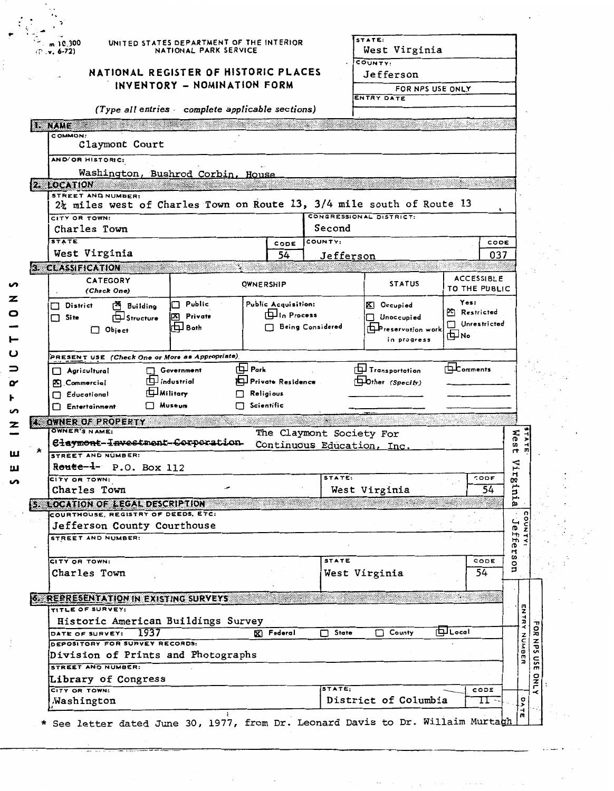| m 1C.300               |                                                                       | UNITED STATES DEPARTMENT OF THE INTERIOR        |                              |                         | STATE:                     |                                    |
|------------------------|-----------------------------------------------------------------------|-------------------------------------------------|------------------------------|-------------------------|----------------------------|------------------------------------|
| $(1.4, 6-72)$          |                                                                       | NATIONAL PARK SERVICE                           |                              |                         | West Virginia<br>COUNTY:   |                                    |
|                        | NATIONAL REGISTER OF HISTORIC PLACES                                  |                                                 |                              |                         | <b>Jefferson</b>           |                                    |
|                        |                                                                       | INVENTORY - NOMINATION FORM                     |                              |                         | FOR NPS USE ONLY           |                                    |
|                        |                                                                       |                                                 |                              |                         | ENTRY DATE                 |                                    |
|                        |                                                                       | (Type all entries complete applicable sections) |                              |                         |                            |                                    |
| <b>NAME</b><br>COMMON: |                                                                       |                                                 |                              |                         |                            |                                    |
|                        | Claymont Court                                                        |                                                 |                              |                         |                            |                                    |
|                        | AND/OR HISTORIC:                                                      |                                                 |                              |                         |                            |                                    |
|                        | Washington, Bushrod Corbin, House<br>2. LOCATION                      |                                                 |                              |                         |                            |                                    |
|                        | STREET AND NUMBER:                                                    |                                                 |                              |                         |                            |                                    |
|                        | 2} miles west of Charles Town on Route 13, 3/4 mile south of Route 13 |                                                 |                              |                         |                            |                                    |
|                        | CITY OR TOWN:<br>Charles Town                                         |                                                 |                              | Second                  | CONGRESSIONAL DISTRICT:    |                                    |
| <b>STATE</b>           |                                                                       |                                                 | CODE                         | COUNTY:                 |                            | CODE                               |
|                        | West Virginia                                                         |                                                 | 54                           | Jefferson               |                            | 037                                |
|                        | 3. CLASSIFICATION                                                     |                                                 |                              |                         |                            |                                    |
|                        | <b>CATEGORY</b>                                                       |                                                 | <b>OWNERSHIP</b>             |                         | <b>STATUS</b>              | <b>ACCESSIBLE</b><br>TO THE PUBLIC |
|                        | (Check One)<br><sup>25</sup> Building<br>□ District                   | $\Box$ Public                                   | Public Acquisition:          |                         | X Occupied                 | Yes:                               |
| $\Box$ Site            | <b>EL Structure</b>                                                   | [X] Private                                     | <b>ILIn Process</b>          |                         | $\Box$ Unoccupied          | Restricted                         |
|                        | $\Box$ Object                                                         | 口 Both                                          |                              | <b>Being Considered</b> | <b>Preservation</b> work   | Unrestricted<br>回い                 |
|                        |                                                                       |                                                 |                              |                         | in progress                |                                    |
|                        | PRESENT USE (Check One or More as Appropriate)                        |                                                 |                              |                         |                            |                                    |
|                        | $\Box$ Agricultural                                                   | Government                                      | $\Box$ Park                  |                         | <b>Ty</b> Transportation   | <b>EL</b> comments                 |
|                        |                                                                       |                                                 |                              |                         |                            |                                    |
|                        | <b>A</b> Commercial                                                   | <b>Industrial</b>                               | <b>ALL</b> Private Residence |                         | Dther (Specify)            |                                    |
|                        | Educational                                                           | <b>In Military</b><br>П<br>∩ Museum             | Religious<br>Scientific      |                         |                            |                                    |
|                        | Entertainment                                                         |                                                 |                              |                         |                            |                                    |
|                        | 4. OWNER OF PROPERTY<br>OWNER'S NAME:                                 |                                                 | The Claymont Society For     |                         |                            |                                    |
|                        | Claymont-Investment-Corporation                                       |                                                 |                              |                         | Continuous Education, Inc. |                                    |
|                        | STREET AND NUMBER:                                                    |                                                 |                              |                         |                            |                                    |
|                        | Route-1- P.O. Box 112<br>CITY OR TOWN:                                |                                                 |                              | STATE:                  |                            | CODE                               |
|                        | Charles Town                                                          |                                                 |                              |                         | West Virginia              | 54                                 |
|                        | 5. LOCATION OF LEGAL DESCRIPTION                                      |                                                 |                              |                         |                            |                                    |
|                        | COURTHOUSE, REGISTRY OF DEEDS, ETC:                                   |                                                 |                              |                         |                            |                                    |
|                        | Jefferson County Courthouse<br>STREET AND NUMBER:                     |                                                 |                              |                         |                            |                                    |
|                        |                                                                       |                                                 |                              |                         |                            |                                    |
|                        | CITY OR TOWN:                                                         |                                                 |                              | <b>STATE</b>            |                            | CODE                               |
|                        | Charles Town                                                          |                                                 |                              |                         | West Virginia              | 54                                 |
|                        |                                                                       |                                                 |                              |                         |                            | - 50                               |
|                        | 6. REPRESENTATION IN EXISTING SURVEYS<br>TITLE OF SURVEY:             |                                                 |                              |                         |                            |                                    |
|                        | Historic American Buildings Survey                                    |                                                 |                              |                         |                            |                                    |
|                        | 1937<br>DATE OF SURVEY:<br>DEPOSITORY FOR SURVEY RECORDS:             |                                                 | $\mathbb{Z}$ Federal         | State<br>□              | County<br>□                | <b>Q</b> Local                     |
|                        | Division of Prints and Photographs                                    |                                                 |                              |                         |                            |                                    |
|                        | STREET AND NUMBER:                                                    |                                                 |                              |                         |                            |                                    |
|                        | Library of Congress<br>CITY OR TOWN:                                  |                                                 |                              | STATE:                  |                            | CODE                               |

 $\label{eq:2.1} \frac{d\mathbf{r}}{dt} = \frac{1}{2} \left( \frac{d\mathbf{r}}{dt} + \frac{d\mathbf{r}}{dt} \right)$ 

 $\frac{1}{2}$ 

t)<br>C

 $\label{eq:constr} \frac{\partial}{\partial t} \nabla \phi(t) = \nabla \phi(t) + \frac{1}{2} \nabla \phi(t) + \frac{1}{2} \nabla \phi(t) + \frac{1}{2} \nabla \phi(t) + \frac{1}{2} \nabla \phi(t) + \frac{1}{2} \nabla \phi(t) + \frac{1}{2} \nabla \phi(t) + \frac{1}{2} \nabla \phi(t) + \frac{1}{2} \nabla \phi(t) + \frac{1}{2} \nabla \phi(t) + \frac{1}{2} \nabla \phi(t) + \frac{1}{2} \nabla \phi(t) + \frac{1}{2} \n$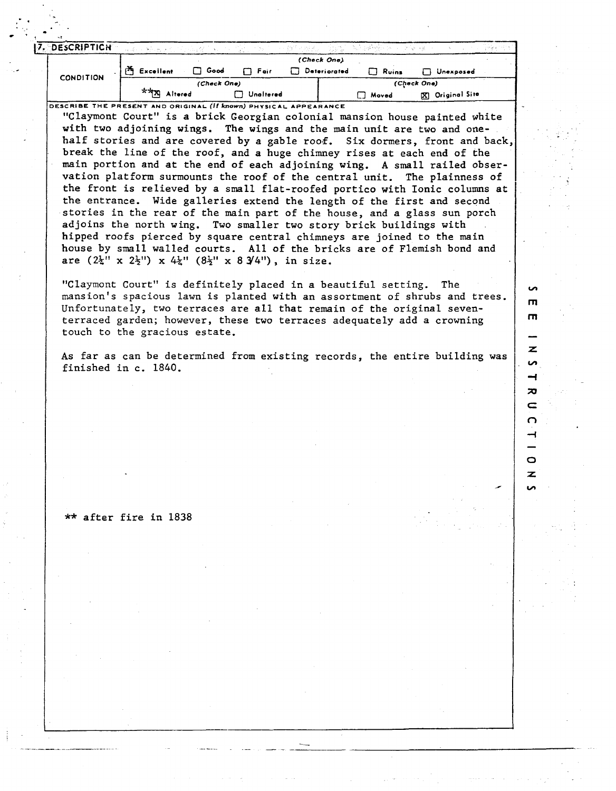| 7. DESCRIPTICH                                                   |                                                                                                                                                                                                                                                                                                                                                                                                                                                                                                                                                                                                                                                                                                                                                                                                                                                                                                                                                                                                                                                      |             |                   |              | py wyb po                                                                  | 不动 不能       |                 |  |
|------------------------------------------------------------------|------------------------------------------------------------------------------------------------------------------------------------------------------------------------------------------------------------------------------------------------------------------------------------------------------------------------------------------------------------------------------------------------------------------------------------------------------------------------------------------------------------------------------------------------------------------------------------------------------------------------------------------------------------------------------------------------------------------------------------------------------------------------------------------------------------------------------------------------------------------------------------------------------------------------------------------------------------------------------------------------------------------------------------------------------|-------------|-------------------|--------------|----------------------------------------------------------------------------|-------------|-----------------|--|
|                                                                  | See Built                                                                                                                                                                                                                                                                                                                                                                                                                                                                                                                                                                                                                                                                                                                                                                                                                                                                                                                                                                                                                                            |             |                   | (Check One)  |                                                                            |             |                 |  |
|                                                                  | <sup>25</sup> Excellent                                                                                                                                                                                                                                                                                                                                                                                                                                                                                                                                                                                                                                                                                                                                                                                                                                                                                                                                                                                                                              | Good        | $\Box$ Fair       | Deteriorated | $\Box$ Ruins                                                               |             | □ Unexposed     |  |
| <b>CONDITION</b>                                                 |                                                                                                                                                                                                                                                                                                                                                                                                                                                                                                                                                                                                                                                                                                                                                                                                                                                                                                                                                                                                                                                      | (Check One) |                   |              |                                                                            | (Check One) |                 |  |
|                                                                  | **X Altered                                                                                                                                                                                                                                                                                                                                                                                                                                                                                                                                                                                                                                                                                                                                                                                                                                                                                                                                                                                                                                          |             | <b>Notifiered</b> |              | $\Box$ Moved                                                               |             | X Original Site |  |
| DESCRIBE THE PRESENT AND ORIGINAL (If known) PHYSICAL APPEARANCE | "Claymont Court" is a brick Georgian colonial mansion house painted white<br>with two adjoining wings. The wings and the main unit are two and one-<br>half stories and are covered by a gable roof. Six dormers, front and back,<br>break the line of the roof, and a huge chimney rises at each end of the<br>main portion and at the end of each adjoining wing. A small railed obser-<br>vation platform surmounts the roof of the central unit. The plainness of<br>the front is relieved by a small flat-roofed portico with Ionic columns at<br>the entrance. Wide galleries extend the length of the first and second<br>stories in the rear of the main part of the house, and a glass sun porch<br>adjoins the north wing. Two smaller two story brick buildings with<br>hipped roofs pierced by square central chimneys are joined to the main<br>house by small walled courts. All of the bricks are of Flemish bond and<br>are $(2\frac{1}{4}$ " x $2\frac{1}{2}$ ") x $4\frac{1}{4}$ " $(8\frac{1}{2}$ " x $8\frac{3}{4}$ "), in size. |             |                   |              |                                                                            |             |                 |  |
|                                                                  | "Claymont Court" is definitely placed in a beautiful setting.                                                                                                                                                                                                                                                                                                                                                                                                                                                                                                                                                                                                                                                                                                                                                                                                                                                                                                                                                                                        |             |                   |              | mansion's spacious lawn is planted with an assortment of shrubs and trees. |             | The             |  |
|                                                                  | Unfortunately, two terraces are all that remain of the original seven-<br>terraced garden; however, these two terraces adequately add a crowning<br>touch to the gracious estate.                                                                                                                                                                                                                                                                                                                                                                                                                                                                                                                                                                                                                                                                                                                                                                                                                                                                    |             |                   |              |                                                                            |             |                 |  |
|                                                                  | As far as can be determined from existing records, the entire building was<br>finished in c. 1840.                                                                                                                                                                                                                                                                                                                                                                                                                                                                                                                                                                                                                                                                                                                                                                                                                                                                                                                                                   |             |                   |              |                                                                            |             |                 |  |
|                                                                  |                                                                                                                                                                                                                                                                                                                                                                                                                                                                                                                                                                                                                                                                                                                                                                                                                                                                                                                                                                                                                                                      |             |                   |              |                                                                            |             |                 |  |
|                                                                  |                                                                                                                                                                                                                                                                                                                                                                                                                                                                                                                                                                                                                                                                                                                                                                                                                                                                                                                                                                                                                                                      |             |                   |              |                                                                            |             |                 |  |
|                                                                  |                                                                                                                                                                                                                                                                                                                                                                                                                                                                                                                                                                                                                                                                                                                                                                                                                                                                                                                                                                                                                                                      |             |                   |              |                                                                            |             |                 |  |
|                                                                  |                                                                                                                                                                                                                                                                                                                                                                                                                                                                                                                                                                                                                                                                                                                                                                                                                                                                                                                                                                                                                                                      |             |                   |              |                                                                            |             |                 |  |
|                                                                  |                                                                                                                                                                                                                                                                                                                                                                                                                                                                                                                                                                                                                                                                                                                                                                                                                                                                                                                                                                                                                                                      |             |                   |              |                                                                            |             |                 |  |
|                                                                  |                                                                                                                                                                                                                                                                                                                                                                                                                                                                                                                                                                                                                                                                                                                                                                                                                                                                                                                                                                                                                                                      |             |                   |              |                                                                            |             |                 |  |
|                                                                  |                                                                                                                                                                                                                                                                                                                                                                                                                                                                                                                                                                                                                                                                                                                                                                                                                                                                                                                                                                                                                                                      |             |                   |              |                                                                            |             |                 |  |
|                                                                  |                                                                                                                                                                                                                                                                                                                                                                                                                                                                                                                                                                                                                                                                                                                                                                                                                                                                                                                                                                                                                                                      |             |                   |              |                                                                            |             |                 |  |
|                                                                  |                                                                                                                                                                                                                                                                                                                                                                                                                                                                                                                                                                                                                                                                                                                                                                                                                                                                                                                                                                                                                                                      |             |                   |              |                                                                            |             |                 |  |
|                                                                  |                                                                                                                                                                                                                                                                                                                                                                                                                                                                                                                                                                                                                                                                                                                                                                                                                                                                                                                                                                                                                                                      |             |                   |              |                                                                            |             |                 |  |
|                                                                  |                                                                                                                                                                                                                                                                                                                                                                                                                                                                                                                                                                                                                                                                                                                                                                                                                                                                                                                                                                                                                                                      |             |                   |              |                                                                            |             |                 |  |
|                                                                  | ** after fire in 1838                                                                                                                                                                                                                                                                                                                                                                                                                                                                                                                                                                                                                                                                                                                                                                                                                                                                                                                                                                                                                                |             |                   |              |                                                                            |             |                 |  |
|                                                                  |                                                                                                                                                                                                                                                                                                                                                                                                                                                                                                                                                                                                                                                                                                                                                                                                                                                                                                                                                                                                                                                      |             |                   |              |                                                                            |             |                 |  |
|                                                                  |                                                                                                                                                                                                                                                                                                                                                                                                                                                                                                                                                                                                                                                                                                                                                                                                                                                                                                                                                                                                                                                      |             |                   |              |                                                                            |             |                 |  |
|                                                                  |                                                                                                                                                                                                                                                                                                                                                                                                                                                                                                                                                                                                                                                                                                                                                                                                                                                                                                                                                                                                                                                      |             |                   |              |                                                                            |             |                 |  |
|                                                                  |                                                                                                                                                                                                                                                                                                                                                                                                                                                                                                                                                                                                                                                                                                                                                                                                                                                                                                                                                                                                                                                      |             |                   |              |                                                                            |             |                 |  |
|                                                                  |                                                                                                                                                                                                                                                                                                                                                                                                                                                                                                                                                                                                                                                                                                                                                                                                                                                                                                                                                                                                                                                      |             |                   |              |                                                                            |             |                 |  |
|                                                                  |                                                                                                                                                                                                                                                                                                                                                                                                                                                                                                                                                                                                                                                                                                                                                                                                                                                                                                                                                                                                                                                      |             |                   |              |                                                                            |             |                 |  |
|                                                                  |                                                                                                                                                                                                                                                                                                                                                                                                                                                                                                                                                                                                                                                                                                                                                                                                                                                                                                                                                                                                                                                      |             |                   |              |                                                                            |             |                 |  |

 $\frac{1}{\sqrt{2}}\left( \frac{1}{\sqrt{2}}\right) \left( \frac{1}{\sqrt{2}}\right) \left( \frac{1}{\sqrt{2}}\right) \left( \frac{1}{\sqrt{2}}\right) \left( \frac{1}{\sqrt{2}}\right) \left( \frac{1}{\sqrt{2}}\right) \left( \frac{1}{\sqrt{2}}\right) \left( \frac{1}{\sqrt{2}}\right) \left( \frac{1}{\sqrt{2}}\right) \left( \frac{1}{\sqrt{2}}\right) \left( \frac{1}{\sqrt{2}}\right) \left( \frac{1}{\sqrt{2}}\right) \left( \frac{1}{\sqrt{2}}\right) \left$ 

 $\epsilon \leq 2$ 

 $\tilde{\mathbb{Q}}$ 

 $\begin{bmatrix} 1 \\ 1 \\ 1 \end{bmatrix}$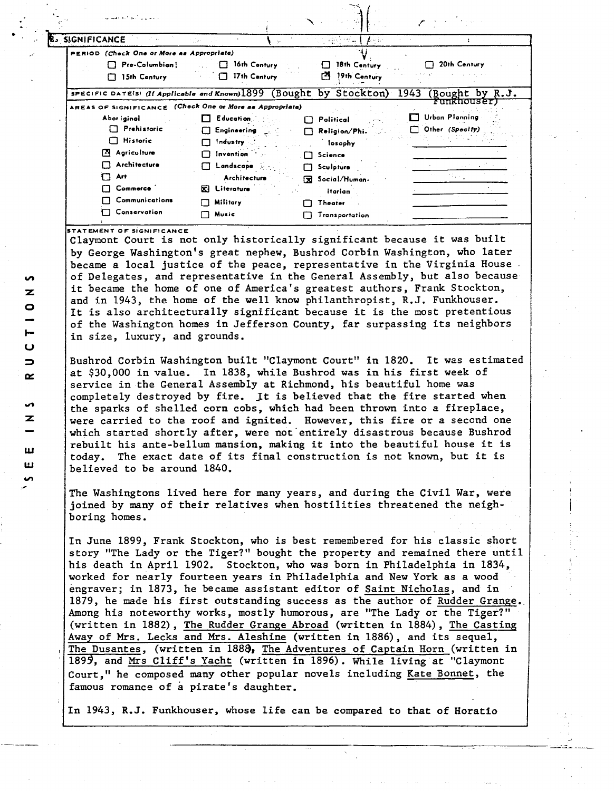| والمتعاني والأنابط كالمعاطف ويقد                                    |                                    |     |                        |                         |
|---------------------------------------------------------------------|------------------------------------|-----|------------------------|-------------------------|
| <b>SIGNIFICANCE</b>                                                 |                                    | No. | 明治セルキ<br>ありふく          |                         |
| PERIOD (Check One or More as Appropriate)                           |                                    |     |                        |                         |
| Pre-Columbian!                                                      | 16th Century<br>T                  |     | 18th Century           | 20th Century            |
| 15th Century                                                        | 17th Century<br>0                  |     | m<br>19th Century      |                         |
| SPECIFIC DATE(S) (If Applicable and Known)1899 (Bought by Stockton) |                                    |     |                        | 1943<br>(Bought by R.J. |
| AREAS OF SIGNIFICANCE                                               | (Check One or More as Appropriate) |     |                        | <del>Funkhouser)</del>  |
| Abor iginal                                                         | Education                          |     | Political              | Urban Planning          |
| $\Box$ Prehistoric                                                  | $\Box$ Engineering                 |     | Religion/Phi.          | Other (Specity)         |
| <b>Historic</b><br>11                                               | Industry                           |     | losophy                |                         |
| Agriculture                                                         | Invention                          |     | Science                |                         |
| Architecture                                                        | Landscape                          |     | Sculpture              |                         |
| Art                                                                 | Architecture                       |     | <b>R</b> Social/Human- |                         |
| Commerce                                                            | <b>KI</b> Literature               |     | itarian                |                         |
| Communications                                                      | <b>Military</b>                    |     | Theater                |                         |
| Conservation                                                        | Music                              |     | <b>Transportation</b>  |                         |
|                                                                     |                                    |     |                        |                         |

STATEMENT OF SIGNIFICANCE

Claymont Court is not only historically significant because it was built by George Washington's great nephew, Bushrod Corbin Washington, who later became a local justice of the peace, representative in the Virginia House. of Delegates, and representative in the General Assembly, but also because it became the home of one of America's greatest authors, Frank Stockton, and in 1943, the home of the well know philanthropist, R.J. Funkhouser. It is also architecturally significant because it is the most pretentious of the Washington homes in Jefferson County, far surpassing its neighbors in size, luxury, and grounds.

Bushrod Corbin Washington built "Claymont Court" in 1820. It was estimated at \$30,000 in value. In 1838, while Bushrod was in his first week of service in the General Assembly at Richmond, his beautiful home was completely destroyed by fire. It is believed that the fire started when the sparks of shelled corn cobs, which had been thrown into a fireplace, were carried to the roof and ignited. However, this fire or a second one which started shortly after, were not entirely disastrous because Bushrod rebuilt his ante-bellum mansion, making it into the beautiful house it is today. The exact date of its final construction is not known, but it is believed to be around 1840.

The Washingtons lived here for many years, and during the Civil War, were joined by many of their relatives when hostilities threatened the neighboring homes.

In June 1899, Frank Stockton, who is best remembered for his classic short story "The Lady or the Tiger?" bought the property and remained there until his death in April 1902. Stockton, who was born in Philadelphia in 1834, worked for nearly fourteen years in Philadelphia and New York as a wood engraver; in 1873, he became assistant editor of Saint Nicholas, and in 1879, he made his first outstanding success as the author of Rudder Grange. Among his noteworthy works, mostly humorous, are "The Lady or the Tiger?" (written in 1882), The Rudder Grange Abroad (written in 1884), The Casting Away of Mrs. Lecks and Mrs. Aleshine (written in 1886), and its sequel, The Dusantes, (written in 1888, The Adventures of Captain Horn (written in 1899, and Mrs Cliff's Yacht (written in 1896). While living at "Claymont Court," he composed many other popular novels including Kate Bonnet, the famous romance of a pirate's daughter.

In 1943, R.J. Funkhouser, whose life can be compared to that of Horatio

**S** z  $\bullet$  $\mathbf C$  $\Rightarrow$  $\propto$ **S**  $\mathbf{z}$ ш ш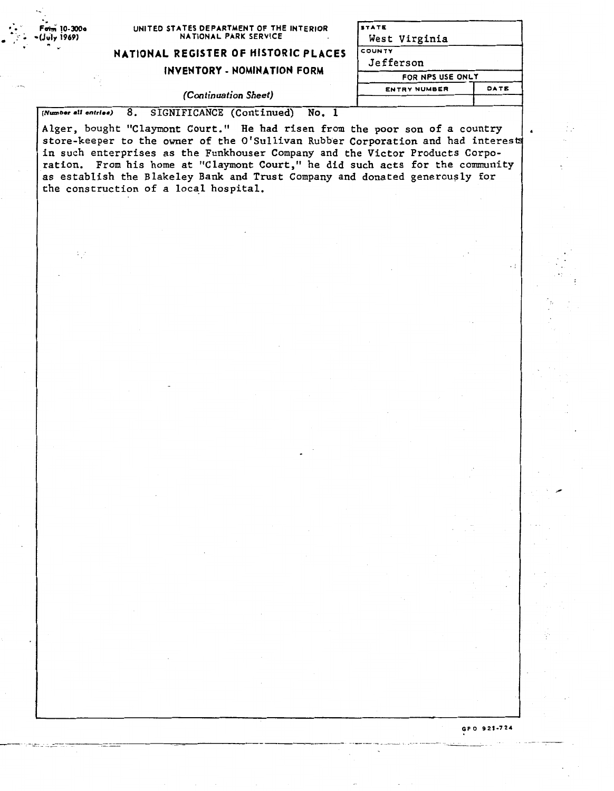| ٠.                         |                                                                   |
|----------------------------|-------------------------------------------------------------------|
| $\frac{1}{2}$ Form 10-300a | UNITED STATES DEPARTMENT OF THE INTERIOR<br>NATIONAL PARK SERVICE |

**NATIONAL REGISTER OF HISTORIC PLACES** 

## **INVENTORY** - **NOMINATION FORM**

| <b>ENTRY NUMBER</b> | DATE |
|---------------------|------|
| FOR NPS USE ONLY    |      |
| Jefferson           |      |
| COUNTY              |      |
| West Virginia       |      |
| <b>STATE</b>        |      |

## *(Continuation Sheet)* I

(Number all entries) 8. SIGNIFICANCE (Continued) No, 1

:<br>|-<br>|-<br>|- |- |- |-

Alger, bought "Claymont Court." He had risen from the poor son of a country store-keeper to the owner of the O'Sullivan Rubber Corporation and had interest in such enterprises as the Funkhouser Company and the Victor Products Corporation. From his home at "Claymont Court," he did such acts for the community as establish the Blakeley Bank and Trust Company and donated generously for the construction of a local hospital.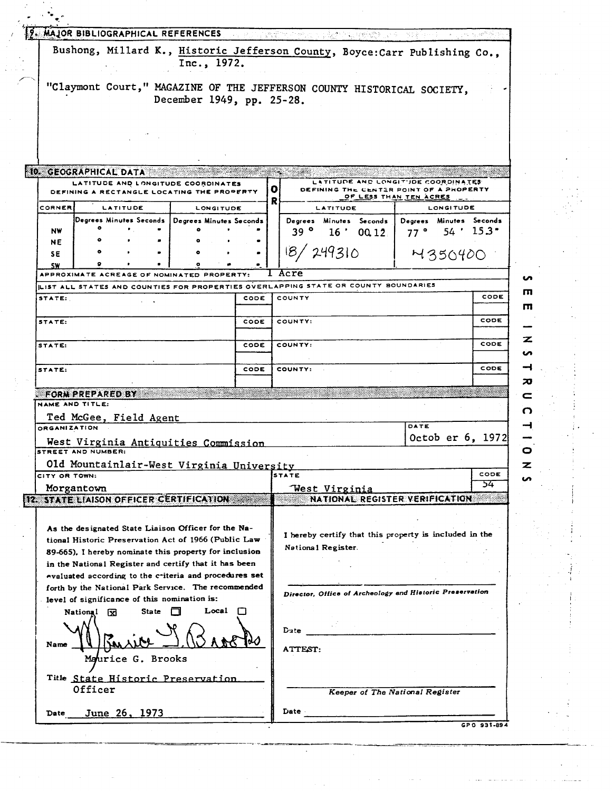|                                                                                                                                                                                                                                                                                                                                                                                                                                                                                                                                                                                                                                                                                                                         |                           |      |   | <b>19. MAJOR BIBLIOGRAPHICAL REFERENCES A construction of the state of the state of the state of the state of the state of the state of the state of the state of the state of the state of the state of the state of the stat</b> |                                 |            |
|-------------------------------------------------------------------------------------------------------------------------------------------------------------------------------------------------------------------------------------------------------------------------------------------------------------------------------------------------------------------------------------------------------------------------------------------------------------------------------------------------------------------------------------------------------------------------------------------------------------------------------------------------------------------------------------------------------------------------|---------------------------|------|---|------------------------------------------------------------------------------------------------------------------------------------------------------------------------------------------------------------------------------------|---------------------------------|------------|
| Bushong, Millard K., Historic Jefferson County, Boyce: Carr Publishing Co.,                                                                                                                                                                                                                                                                                                                                                                                                                                                                                                                                                                                                                                             | Inc., 1972.               |      |   |                                                                                                                                                                                                                                    |                                 |            |
|                                                                                                                                                                                                                                                                                                                                                                                                                                                                                                                                                                                                                                                                                                                         |                           |      |   |                                                                                                                                                                                                                                    |                                 |            |
| "Claymont Court," MAGAZINE OF THE JEFFERSON COUNTY HISTORICAL SOCIETY,                                                                                                                                                                                                                                                                                                                                                                                                                                                                                                                                                                                                                                                  |                           |      |   |                                                                                                                                                                                                                                    |                                 |            |
|                                                                                                                                                                                                                                                                                                                                                                                                                                                                                                                                                                                                                                                                                                                         | December 1949, pp. 25-28. |      |   |                                                                                                                                                                                                                                    |                                 |            |
|                                                                                                                                                                                                                                                                                                                                                                                                                                                                                                                                                                                                                                                                                                                         |                           |      |   |                                                                                                                                                                                                                                    |                                 |            |
|                                                                                                                                                                                                                                                                                                                                                                                                                                                                                                                                                                                                                                                                                                                         |                           |      |   |                                                                                                                                                                                                                                    |                                 |            |
|                                                                                                                                                                                                                                                                                                                                                                                                                                                                                                                                                                                                                                                                                                                         |                           |      |   |                                                                                                                                                                                                                                    |                                 |            |
|                                                                                                                                                                                                                                                                                                                                                                                                                                                                                                                                                                                                                                                                                                                         |                           |      |   |                                                                                                                                                                                                                                    |                                 |            |
| <b>ID. GEOGRAPHICAL DATA</b>                                                                                                                                                                                                                                                                                                                                                                                                                                                                                                                                                                                                                                                                                            |                           |      |   |                                                                                                                                                                                                                                    |                                 |            |
| LATITUDE AND LONGITUDE COORDINATES                                                                                                                                                                                                                                                                                                                                                                                                                                                                                                                                                                                                                                                                                      |                           |      |   | LATITUDE AND LONGITUDE COORDINATES                                                                                                                                                                                                 |                                 |            |
| DEFINING A RECTANGLE LOCATING THE PROPERTY                                                                                                                                                                                                                                                                                                                                                                                                                                                                                                                                                                                                                                                                              |                           |      | o | DEFINING THE CENTER POINT OF A PROPERTY                                                                                                                                                                                            | OF LESS THAN TEN ACRES          |            |
| CORNER<br>LATITUDE                                                                                                                                                                                                                                                                                                                                                                                                                                                                                                                                                                                                                                                                                                      | LONGITUDE                 |      | R | LATITUDE                                                                                                                                                                                                                           | <b>LONGITUDE</b>                |            |
| Degrees Minutes Seconds   Degrees Minutes Seconds                                                                                                                                                                                                                                                                                                                                                                                                                                                                                                                                                                                                                                                                       |                           |      |   | Degrees Minutes Seconds                                                                                                                                                                                                            | Degrees Minutes Seconds         |            |
| NW                                                                                                                                                                                                                                                                                                                                                                                                                                                                                                                                                                                                                                                                                                                      |                           |      |   | 39 <sup>o</sup><br>16' 0012                                                                                                                                                                                                        | $77^\circ$                      | $54'$ 153. |
| NE                                                                                                                                                                                                                                                                                                                                                                                                                                                                                                                                                                                                                                                                                                                      |                           |      |   |                                                                                                                                                                                                                                    |                                 |            |
| SE<br>۰                                                                                                                                                                                                                                                                                                                                                                                                                                                                                                                                                                                                                                                                                                                 |                           |      |   | 18/249310                                                                                                                                                                                                                          | M350400                         |            |
| SW.<br>APPROXIMATE ACREAGE OF NOMINATED PROPERTY:                                                                                                                                                                                                                                                                                                                                                                                                                                                                                                                                                                                                                                                                       |                           |      |   | Acre                                                                                                                                                                                                                               |                                 |            |
| LIST ALL STATES AND COUNTIES FOR PROPERTIES OVERLAPPING STATE OR COUNTY BOUNDARIES                                                                                                                                                                                                                                                                                                                                                                                                                                                                                                                                                                                                                                      |                           |      |   |                                                                                                                                                                                                                                    |                                 |            |
| STATE:                                                                                                                                                                                                                                                                                                                                                                                                                                                                                                                                                                                                                                                                                                                  |                           | CODE |   | COUNTY                                                                                                                                                                                                                             |                                 | CODE       |
|                                                                                                                                                                                                                                                                                                                                                                                                                                                                                                                                                                                                                                                                                                                         |                           |      |   |                                                                                                                                                                                                                                    |                                 |            |
| STATE:                                                                                                                                                                                                                                                                                                                                                                                                                                                                                                                                                                                                                                                                                                                  |                           | CODE |   | COUNTY:                                                                                                                                                                                                                            |                                 | CODE       |
|                                                                                                                                                                                                                                                                                                                                                                                                                                                                                                                                                                                                                                                                                                                         |                           |      |   |                                                                                                                                                                                                                                    |                                 |            |
| STATE:                                                                                                                                                                                                                                                                                                                                                                                                                                                                                                                                                                                                                                                                                                                  |                           | CODE |   | COUNTY:                                                                                                                                                                                                                            |                                 | CODE       |
|                                                                                                                                                                                                                                                                                                                                                                                                                                                                                                                                                                                                                                                                                                                         |                           |      |   |                                                                                                                                                                                                                                    |                                 |            |
| STATE:                                                                                                                                                                                                                                                                                                                                                                                                                                                                                                                                                                                                                                                                                                                  |                           | CODE |   | COUNTY:                                                                                                                                                                                                                            |                                 | CODE       |
|                                                                                                                                                                                                                                                                                                                                                                                                                                                                                                                                                                                                                                                                                                                         |                           |      |   |                                                                                                                                                                                                                                    |                                 |            |
| FORM PREPARED BY                                                                                                                                                                                                                                                                                                                                                                                                                                                                                                                                                                                                                                                                                                        |                           |      |   |                                                                                                                                                                                                                                    |                                 |            |
|                                                                                                                                                                                                                                                                                                                                                                                                                                                                                                                                                                                                                                                                                                                         |                           |      |   |                                                                                                                                                                                                                                    |                                 |            |
|                                                                                                                                                                                                                                                                                                                                                                                                                                                                                                                                                                                                                                                                                                                         |                           |      |   |                                                                                                                                                                                                                                    |                                 |            |
|                                                                                                                                                                                                                                                                                                                                                                                                                                                                                                                                                                                                                                                                                                                         |                           |      |   |                                                                                                                                                                                                                                    | DATE                            |            |
|                                                                                                                                                                                                                                                                                                                                                                                                                                                                                                                                                                                                                                                                                                                         |                           |      |   |                                                                                                                                                                                                                                    | Octob er 6, 1972                |            |
|                                                                                                                                                                                                                                                                                                                                                                                                                                                                                                                                                                                                                                                                                                                         |                           |      |   |                                                                                                                                                                                                                                    |                                 |            |
|                                                                                                                                                                                                                                                                                                                                                                                                                                                                                                                                                                                                                                                                                                                         |                           |      |   |                                                                                                                                                                                                                                    |                                 |            |
|                                                                                                                                                                                                                                                                                                                                                                                                                                                                                                                                                                                                                                                                                                                         |                           |      |   | STATE                                                                                                                                                                                                                              |                                 | CODE       |
|                                                                                                                                                                                                                                                                                                                                                                                                                                                                                                                                                                                                                                                                                                                         |                           |      |   | West Virginia                                                                                                                                                                                                                      |                                 | 54         |
|                                                                                                                                                                                                                                                                                                                                                                                                                                                                                                                                                                                                                                                                                                                         |                           |      |   | NATIONAL REGISTER VERIFICATION                                                                                                                                                                                                     |                                 |            |
|                                                                                                                                                                                                                                                                                                                                                                                                                                                                                                                                                                                                                                                                                                                         |                           |      |   |                                                                                                                                                                                                                                    |                                 |            |
|                                                                                                                                                                                                                                                                                                                                                                                                                                                                                                                                                                                                                                                                                                                         |                           |      |   |                                                                                                                                                                                                                                    |                                 |            |
|                                                                                                                                                                                                                                                                                                                                                                                                                                                                                                                                                                                                                                                                                                                         |                           |      |   | I hereby certify that this property is included in the                                                                                                                                                                             |                                 |            |
|                                                                                                                                                                                                                                                                                                                                                                                                                                                                                                                                                                                                                                                                                                                         |                           |      |   | National Register.                                                                                                                                                                                                                 |                                 |            |
|                                                                                                                                                                                                                                                                                                                                                                                                                                                                                                                                                                                                                                                                                                                         |                           |      |   |                                                                                                                                                                                                                                    |                                 |            |
|                                                                                                                                                                                                                                                                                                                                                                                                                                                                                                                                                                                                                                                                                                                         |                           |      |   |                                                                                                                                                                                                                                    |                                 |            |
|                                                                                                                                                                                                                                                                                                                                                                                                                                                                                                                                                                                                                                                                                                                         |                           |      |   | Director, Office of Archeology and Historic Preservation                                                                                                                                                                           |                                 |            |
|                                                                                                                                                                                                                                                                                                                                                                                                                                                                                                                                                                                                                                                                                                                         |                           |      |   |                                                                                                                                                                                                                                    |                                 |            |
| State<br>National<br>⊠                                                                                                                                                                                                                                                                                                                                                                                                                                                                                                                                                                                                                                                                                                  | Local                     |      |   |                                                                                                                                                                                                                                    |                                 |            |
|                                                                                                                                                                                                                                                                                                                                                                                                                                                                                                                                                                                                                                                                                                                         |                           |      |   | Date                                                                                                                                                                                                                               |                                 |            |
|                                                                                                                                                                                                                                                                                                                                                                                                                                                                                                                                                                                                                                                                                                                         |                           |      |   |                                                                                                                                                                                                                                    |                                 |            |
|                                                                                                                                                                                                                                                                                                                                                                                                                                                                                                                                                                                                                                                                                                                         |                           |      |   | <b>ATTEST:</b>                                                                                                                                                                                                                     |                                 |            |
| Maurice G. Brooks                                                                                                                                                                                                                                                                                                                                                                                                                                                                                                                                                                                                                                                                                                       |                           |      |   |                                                                                                                                                                                                                                    |                                 |            |
|                                                                                                                                                                                                                                                                                                                                                                                                                                                                                                                                                                                                                                                                                                                         |                           |      |   |                                                                                                                                                                                                                                    |                                 |            |
| NAME AND TITLE:<br>Ted McGee, Field Agent<br><b>ORGANIZATION</b><br>West Virginia Antiquities Commission<br><b>STREET AND NUMBER:</b><br>Old Mountainlair-West Virginia University<br>CITY OR TOWN:<br>Morgantown<br>12. STATE LIAISON OFFICER CERTIFICATION<br>As the designated State Liaison Officer for the Na-<br>tional Historic Preservation Act of 1966 (Public Law<br>89-665), I hereby nominate this property for inclusion<br>in the National Register and certify that it has been<br>evaluated according to the criteria and procedures set<br>forth by the National Park Service. The recommended<br>level of significance of this nomination is:<br>Name<br>Title State Historic Preservation<br>Officer |                           |      |   |                                                                                                                                                                                                                                    | Keeper of The National Register |            |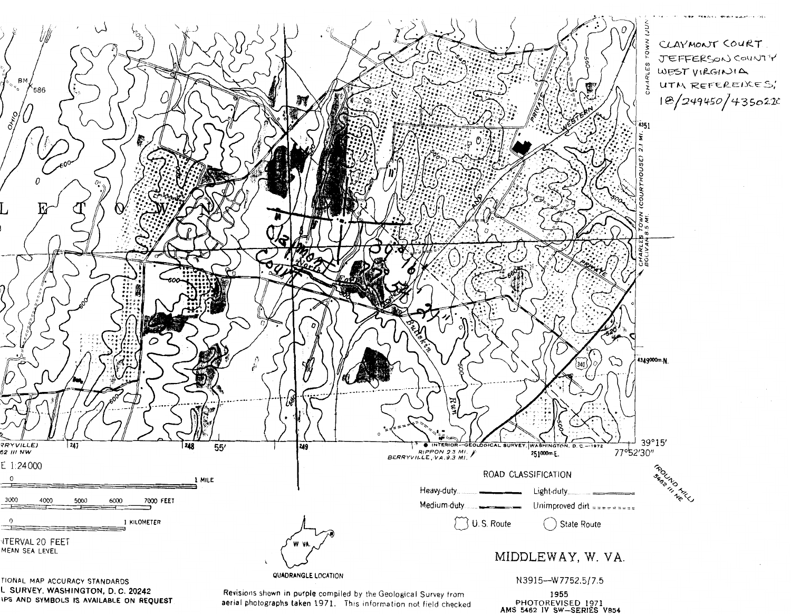

L SURVEY, WASHINGTON, D. C. 20242 IPS AND SYMBOLS IS AVAILABLE ON REQUEST

Revisions shown in purple compiled by the Geological Survey from aerial photographs taken 1971. This information not field checked N3915--W7752.5/7.5

1955 PHOTOREVISED 1971<br>AMS 5462 IV SW-SERIES V854